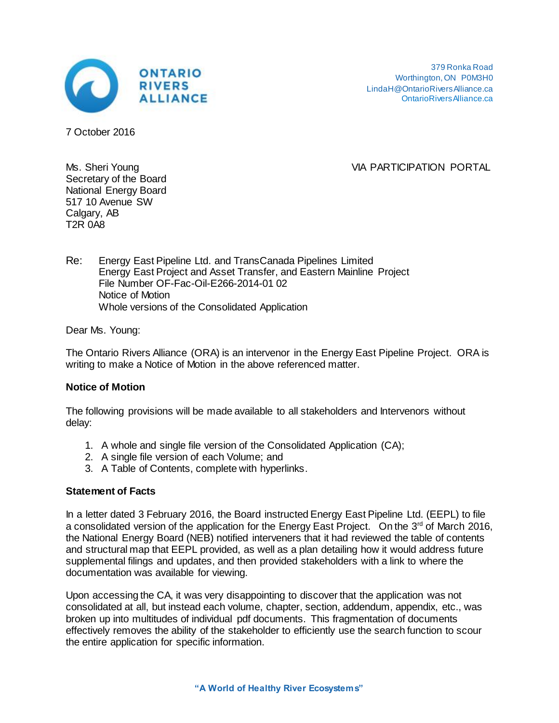

379 Ronka Road Worthington, ON P0M3H0 LindaH@OntarioRiversAlliance.ca [OntarioRiversAlliance.ca](http://ontarioriversalliance.ca/)

7 October 2016

Ms. Sheri Young VIA PARTICIPATION PORTAL

Secretary of the Board National Energy Board 517 10 Avenue SW Calgary, AB T2R 0A8

Re: Energy East Pipeline Ltd. and TransCanada Pipelines Limited Energy East Project and Asset Transfer, and Eastern Mainline Project File Number OF-Fac-Oil-E266-2014-01 02 Notice of Motion Whole versions of the Consolidated Application

Dear Ms. Young:

The Ontario Rivers Alliance (ORA) is an intervenor in the Energy East Pipeline Project. ORA is writing to make a Notice of Motion in the above referenced matter.

## **Notice of Motion**

The following provisions will be made available to all stakeholders and Intervenors without delay:

- 1. A whole and single file version of the Consolidated Application (CA);
- 2. A single file version of each Volume; and
- 3. A Table of Contents, complete with hyperlinks.

## **Statement of Facts**

In a letter dated 3 February 2016, the Board instructed Energy East Pipeline Ltd. (EEPL) to file a consolidated version of the application for the Energy East Project. On the 3<sup>rd</sup> of March 2016, the National Energy Board (NEB) notified interveners that it had reviewed the table of contents and structural map that EEPL provided, as well as a plan detailing how it would address future supplemental filings and updates, and then provided stakeholders with a link to where the documentation was available for viewing.

Upon accessing the CA, it was very disappointing to discover that the application was not consolidated at all, but instead each volume, chapter, section, addendum, appendix, etc., was broken up into multitudes of individual pdf documents. This fragmentation of documents effectively removes the ability of the stakeholder to efficiently use the search function to scour the entire application for specific information.